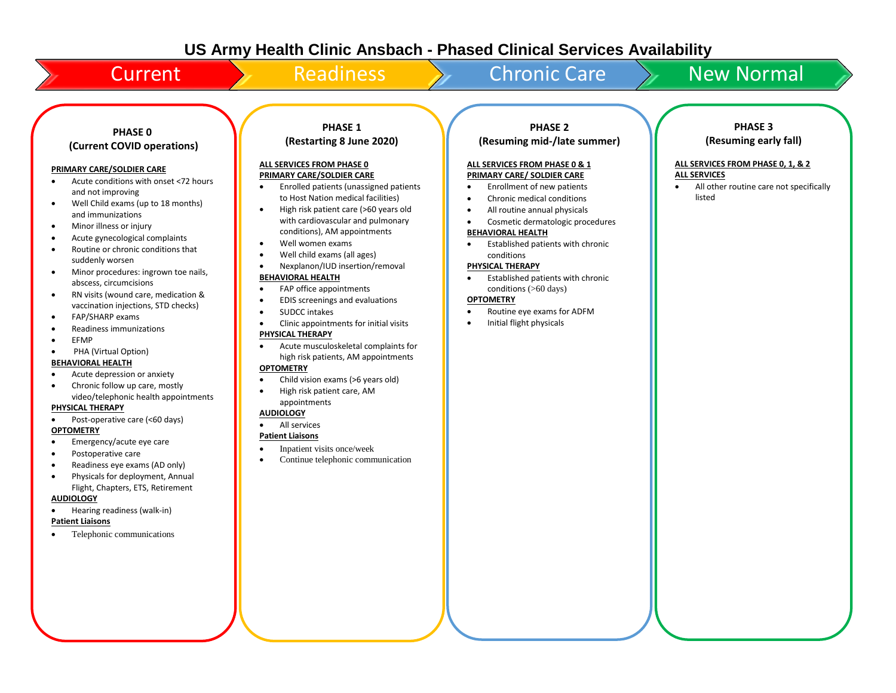# **US Army Health Clinic Ansbach - Phased Clinical Services Availability**

# Current Readiness  $\lambda$  Chronic Care  $\lambda$  New Normal

### **PHASE 0 (Current COVID operations)**

#### **PRIMARY CARE/SOLDIER CARE**

- Acute conditions with onset <72 hours and not improving
- Well Child exams (up to 18 months) and immunizations
- Minor illness or injury
- Acute gynecological complaints
- Routine or chronic conditions that suddenly worsen
- Minor procedures: ingrown toe nails, abscess, circumcisions
- RN visits (wound care, medication & vaccination injections, STD checks)
- FAP/SHARP exams
- Readiness immunizations
- EFMP
- PHA (Virtual Option)

#### **BEHAVIORAL HEALTH**

- Acute depression or anxiety
- Chronic follow up care, mostly video/telephonic health appointments

#### **PHYSICAL THERAPY**

- Post-operative care (<60 days) **OPTOMETRY**
- Emergency/acute eye care
- Postoperative care
- Readiness eye exams (AD only)
- Physicals for deployment, Annual Flight, Chapters, ETS, Retirement

#### **AUDIOLOGY**

- Hearing readiness (walk-in)
- **Patient Liaisons**
- Telephonic communications

# **PHASE 1**

# **(Restarting 8 June 2020)**

#### **ALL SERVICES FROM PHASE 0 PRIMARY CARE/SOLDIER CARE**

- Enrolled patients (unassigned patients to Host Nation medical facilities)
- High risk patient care (>60 years old with cardiovascular and pulmonary conditions), AM appointments
- Well women exams
- Well child exams (all ages)
- Nexplanon/IUD insertion/removal

#### **BEHAVIORAL HEALTH**

- FAP office appointments
- EDIS screenings and evaluations
- SUDCC intakes
- Clinic appointments for initial visits **PHYSICAL THERAPY**
- Acute musculoskeletal complaints for high risk patients, AM appointments

#### **OPTOMETRY**

- Child vision exams (>6 years old)
- High risk patient care, AM appointments

#### **AUDIOLOGY**

All services

#### **Patient Liaisons**

- Inpatient visits once/week
- Continue telephonic communication

## **PHASE 2**

### **(Resuming mid-/late summer)**

#### **ALL SERVICES FROM PHASE 0 & 1 PRIMARY CARE/ SOLDIER CARE**

- Enrollment of new patients
- Chronic medical conditions
- All routine annual physicals
- Cosmetic dermatologic procedures

#### **BEHAVIORAL HEALTH**

 Established patients with chronic conditions

#### **PHYSICAL THERAPY**

 Established patients with chronic conditions (>60 days)

#### **OPTOMETRY**

- Routine eye exams for ADFM
- Initial flight physicals

**PHASE 3 (Resuming early fall)**

## **ALL SERVICES FROM PHASE 0, 1, & 2**

#### **ALL SERVICES**

 All other routine care not specifically listed